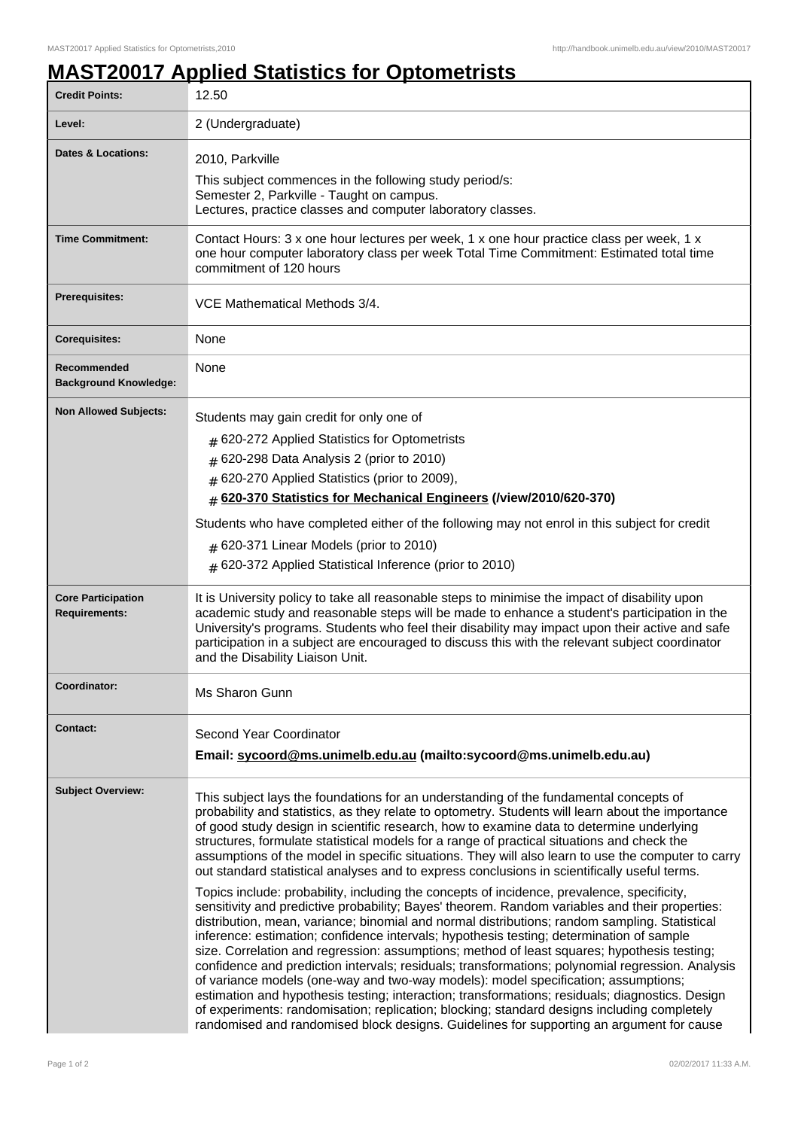## **MAST20017 Applied Statistics for Optometrists**

| <b>Credit Points:</b>                             | 12.50                                                                                                                                                                                                                                                                                                                                                                                                                                                                                                                                                                                                                                                                                                                                                                                                                                                                                                                                                                                                                                                                                                                                                                                                                                                                                                                                                                                                                                                                                                                                                                          |
|---------------------------------------------------|--------------------------------------------------------------------------------------------------------------------------------------------------------------------------------------------------------------------------------------------------------------------------------------------------------------------------------------------------------------------------------------------------------------------------------------------------------------------------------------------------------------------------------------------------------------------------------------------------------------------------------------------------------------------------------------------------------------------------------------------------------------------------------------------------------------------------------------------------------------------------------------------------------------------------------------------------------------------------------------------------------------------------------------------------------------------------------------------------------------------------------------------------------------------------------------------------------------------------------------------------------------------------------------------------------------------------------------------------------------------------------------------------------------------------------------------------------------------------------------------------------------------------------------------------------------------------------|
| Level:                                            | 2 (Undergraduate)                                                                                                                                                                                                                                                                                                                                                                                                                                                                                                                                                                                                                                                                                                                                                                                                                                                                                                                                                                                                                                                                                                                                                                                                                                                                                                                                                                                                                                                                                                                                                              |
| <b>Dates &amp; Locations:</b>                     | 2010, Parkville<br>This subject commences in the following study period/s:<br>Semester 2, Parkville - Taught on campus.<br>Lectures, practice classes and computer laboratory classes.                                                                                                                                                                                                                                                                                                                                                                                                                                                                                                                                                                                                                                                                                                                                                                                                                                                                                                                                                                                                                                                                                                                                                                                                                                                                                                                                                                                         |
| <b>Time Commitment:</b>                           | Contact Hours: 3 x one hour lectures per week, 1 x one hour practice class per week, 1 x<br>one hour computer laboratory class per week Total Time Commitment: Estimated total time<br>commitment of 120 hours                                                                                                                                                                                                                                                                                                                                                                                                                                                                                                                                                                                                                                                                                                                                                                                                                                                                                                                                                                                                                                                                                                                                                                                                                                                                                                                                                                 |
| <b>Prerequisites:</b>                             | VCE Mathematical Methods 3/4.                                                                                                                                                                                                                                                                                                                                                                                                                                                                                                                                                                                                                                                                                                                                                                                                                                                                                                                                                                                                                                                                                                                                                                                                                                                                                                                                                                                                                                                                                                                                                  |
| <b>Corequisites:</b>                              | None                                                                                                                                                                                                                                                                                                                                                                                                                                                                                                                                                                                                                                                                                                                                                                                                                                                                                                                                                                                                                                                                                                                                                                                                                                                                                                                                                                                                                                                                                                                                                                           |
| Recommended<br><b>Background Knowledge:</b>       | None                                                                                                                                                                                                                                                                                                                                                                                                                                                                                                                                                                                                                                                                                                                                                                                                                                                                                                                                                                                                                                                                                                                                                                                                                                                                                                                                                                                                                                                                                                                                                                           |
| <b>Non Allowed Subjects:</b>                      | Students may gain credit for only one of<br>$#$ 620-272 Applied Statistics for Optometrists<br>620-298 Data Analysis 2 (prior to 2010)<br>#<br># 620-270 Applied Statistics (prior to 2009),<br># 620-370 Statistics for Mechanical Engineers (/view/2010/620-370)<br>Students who have completed either of the following may not enrol in this subject for credit<br>$#$ 620-371 Linear Models (prior to 2010)<br># 620-372 Applied Statistical Inference (prior to 2010)                                                                                                                                                                                                                                                                                                                                                                                                                                                                                                                                                                                                                                                                                                                                                                                                                                                                                                                                                                                                                                                                                                     |
| <b>Core Participation</b><br><b>Requirements:</b> | It is University policy to take all reasonable steps to minimise the impact of disability upon<br>academic study and reasonable steps will be made to enhance a student's participation in the<br>University's programs. Students who feel their disability may impact upon their active and safe<br>participation in a subject are encouraged to discuss this with the relevant subject coordinator<br>and the Disability Liaison Unit.                                                                                                                                                                                                                                                                                                                                                                                                                                                                                                                                                                                                                                                                                                                                                                                                                                                                                                                                                                                                                                                                                                                                       |
| Coordinator:                                      | Ms Sharon Gunn                                                                                                                                                                                                                                                                                                                                                                                                                                                                                                                                                                                                                                                                                                                                                                                                                                                                                                                                                                                                                                                                                                                                                                                                                                                                                                                                                                                                                                                                                                                                                                 |
| <b>Contact:</b>                                   | Second Year Coordinator<br>Email: sycoord@ms.unimelb.edu.au (mailto:sycoord@ms.unimelb.edu.au)                                                                                                                                                                                                                                                                                                                                                                                                                                                                                                                                                                                                                                                                                                                                                                                                                                                                                                                                                                                                                                                                                                                                                                                                                                                                                                                                                                                                                                                                                 |
| <b>Subject Overview:</b>                          | This subject lays the foundations for an understanding of the fundamental concepts of<br>probability and statistics, as they relate to optometry. Students will learn about the importance<br>of good study design in scientific research, how to examine data to determine underlying<br>structures, formulate statistical models for a range of practical situations and check the<br>assumptions of the model in specific situations. They will also learn to use the computer to carry<br>out standard statistical analyses and to express conclusions in scientifically useful terms.<br>Topics include: probability, including the concepts of incidence, prevalence, specificity,<br>sensitivity and predictive probability; Bayes' theorem. Random variables and their properties:<br>distribution, mean, variance; binomial and normal distributions; random sampling. Statistical<br>inference: estimation; confidence intervals; hypothesis testing; determination of sample<br>size. Correlation and regression: assumptions; method of least squares; hypothesis testing;<br>confidence and prediction intervals; residuals; transformations; polynomial regression. Analysis<br>of variance models (one-way and two-way models): model specification; assumptions;<br>estimation and hypothesis testing; interaction; transformations; residuals; diagnostics. Design<br>of experiments: randomisation; replication; blocking; standard designs including completely<br>randomised and randomised block designs. Guidelines for supporting an argument for cause |